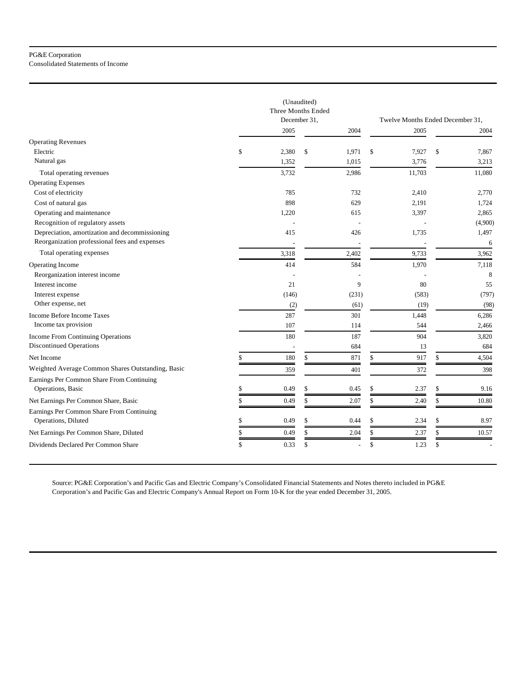|                                                   | (Unaudited)<br>Three Months Ended |    |       |                                  |    |         |  |  |
|---------------------------------------------------|-----------------------------------|----|-------|----------------------------------|----|---------|--|--|
|                                                   | December 31,                      |    |       | Twelve Months Ended December 31, |    |         |  |  |
|                                                   | 2005                              |    | 2004  | 2005                             |    | 2004    |  |  |
| <b>Operating Revenues</b>                         |                                   |    |       |                                  |    |         |  |  |
| Electric                                          | \$<br>2,380                       | \$ | 1,971 | \$<br>7,927                      | \$ | 7,867   |  |  |
| Natural gas                                       | 1,352                             |    | 1,015 | 3,776                            |    | 3,213   |  |  |
| Total operating revenues                          | 3,732                             |    | 2,986 | 11,703                           |    | 11,080  |  |  |
| <b>Operating Expenses</b>                         |                                   |    |       |                                  |    |         |  |  |
| Cost of electricity                               | 785                               |    | 732   | 2,410                            |    | 2,770   |  |  |
| Cost of natural gas                               | 898                               |    | 629   | 2,191                            |    | 1,724   |  |  |
| Operating and maintenance                         | 1,220                             |    | 615   | 3,397                            |    | 2,865   |  |  |
| Recognition of regulatory assets                  |                                   |    |       |                                  |    | (4,900) |  |  |
| Depreciation, amortization and decommissioning    | 415                               |    | 426   | 1,735                            |    | 1,497   |  |  |
| Reorganization professional fees and expenses     |                                   |    |       |                                  |    | 6       |  |  |
| Total operating expenses                          | 3,318                             |    | 2,402 | 9,733                            |    | 3,962   |  |  |
| Operating Income                                  | 414                               |    | 584   | 1,970                            |    | 7,118   |  |  |
| Reorganization interest income                    |                                   |    |       |                                  |    | 8       |  |  |
| Interest income                                   | 21                                |    | 9     | 80                               |    | 55      |  |  |
| Interest expense                                  | (146)                             |    | (231) | (583)                            |    | (797)   |  |  |
| Other expense, net                                | (2)                               |    | (61)  | (19)                             |    | (98)    |  |  |
| <b>Income Before Income Taxes</b>                 | 287                               |    | 301   | 1,448                            |    | 6,286   |  |  |
| Income tax provision                              | 107                               |    | 114   | 544                              |    | 2,466   |  |  |
| Income From Continuing Operations                 | 180                               |    | 187   | 904                              |    | 3,820   |  |  |
| <b>Discontinued Operations</b>                    | ÷,                                |    | 684   | 13                               |    | 684     |  |  |
| Net Income                                        | 180                               | \$ | 871   | \$<br>917                        | \$ | 4,504   |  |  |
| Weighted Average Common Shares Outstanding, Basic | 359                               |    | 401   | 372                              |    | 398     |  |  |
| Earnings Per Common Share From Continuing         |                                   |    |       |                                  |    |         |  |  |
| Operations, Basic                                 | \$<br>0.49                        | \$ | 0.45  | \$<br>2.37                       | \$ | 9.16    |  |  |
| Net Earnings Per Common Share, Basic              | \$<br>0.49                        | \$ | 2.07  | \$<br>2.40                       | \$ | 10.80   |  |  |
| Earnings Per Common Share From Continuing         |                                   |    |       |                                  |    |         |  |  |
| Operations, Diluted                               | \$<br>0.49                        | \$ | 0.44  | \$<br>2.34                       | \$ | 8.97    |  |  |
| Net Earnings Per Common Share, Diluted            | \$<br>0.49                        | \$ | 2.04  | \$<br>2.37                       | \$ | 10.57   |  |  |
| Dividends Declared Per Common Share               | \$<br>0.33                        | \$ |       | \$<br>1.23                       | \$ |         |  |  |

Source: PG&E Corporation's and Pacific Gas and Electric Company's Consolidated Financial Statements and Notes thereto included in PG&E Corporation's and Pacific Gas and Electric Company's Annual Report on Form 10-K for the year ended December 31, 2005.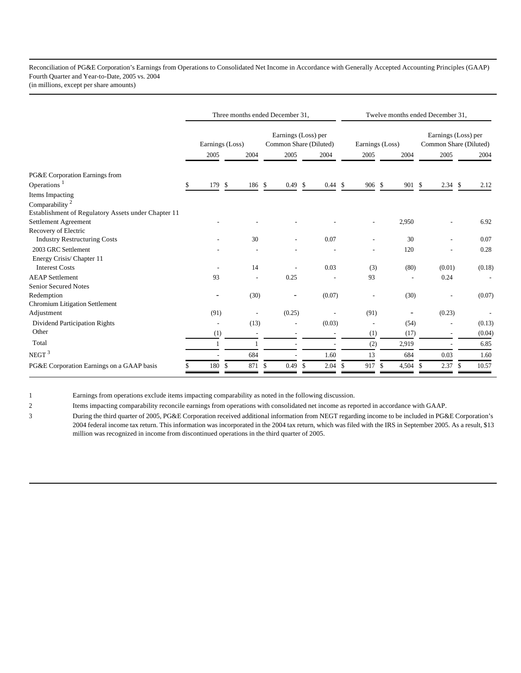Reconciliation of PG&E Corporation's Earnings from Operations to Consolidated Net Income in Accordance with Generally Accepted Accounting Principles (GAAP) Fourth Quarter and Year-to-Date, 2005 vs. 2004 (in millions, except per share amounts)

|                                                     | Three months ended December 31, |                |    |                          |                                               |           | Twelve months ended December 31, |                 |                          |    |                                               |     |                |     |        |
|-----------------------------------------------------|---------------------------------|----------------|----|--------------------------|-----------------------------------------------|-----------|----------------------------------|-----------------|--------------------------|----|-----------------------------------------------|-----|----------------|-----|--------|
|                                                     | Earnings (Loss)                 |                |    |                          | Earnings (Loss) per<br>Common Share (Diluted) |           |                                  | Earnings (Loss) |                          |    | Earnings (Loss) per<br>Common Share (Diluted) |     |                |     |        |
|                                                     |                                 | 2005           |    | 2004                     |                                               | 2005      |                                  | 2004            | 2005                     |    | 2004                                          |     | 2005           |     | 2004   |
| PG&E Corporation Earnings from                      |                                 |                |    |                          |                                               |           |                                  |                 |                          |    |                                               |     |                |     |        |
| Operations $1$                                      |                                 | 179 \$         |    | 186 \$                   |                                               | $0.49$ \$ |                                  | 0.44S           | 906 \$                   |    | 901 \$                                        |     | $2.34$ \$      |     | 2.12   |
| Items Impacting                                     |                                 |                |    |                          |                                               |           |                                  |                 |                          |    |                                               |     |                |     |        |
| Comparability <sup>2</sup>                          |                                 |                |    |                          |                                               |           |                                  |                 |                          |    |                                               |     |                |     |        |
| Establishment of Regulatory Assets under Chapter 11 |                                 |                |    |                          |                                               |           |                                  |                 |                          |    |                                               |     |                |     |        |
| Settlement Agreement                                |                                 |                |    |                          |                                               |           |                                  |                 |                          |    | 2,950                                         |     |                |     | 6.92   |
| Recovery of Electric                                |                                 |                |    |                          |                                               |           |                                  |                 |                          |    |                                               |     |                |     |        |
| <b>Industry Restructuring Costs</b>                 |                                 |                |    | 30                       |                                               |           |                                  | 0.07            |                          |    | 30                                            |     |                |     | 0.07   |
| 2003 GRC Settlement                                 |                                 |                |    |                          |                                               |           |                                  |                 |                          |    | 120                                           |     |                |     | 0.28   |
| Energy Crisis/Chapter 11                            |                                 |                |    |                          |                                               |           |                                  |                 |                          |    |                                               |     |                |     |        |
| <b>Interest Costs</b>                               |                                 |                |    | 14                       |                                               |           |                                  | 0.03            | (3)                      |    | (80)                                          |     | (0.01)         |     | (0.18) |
| <b>AEAP</b> Settlement                              |                                 | 93             |    | ÷,                       |                                               | 0.25      |                                  |                 | 93                       |    |                                               |     | 0.24           |     |        |
| <b>Senior Secured Notes</b>                         |                                 |                |    |                          |                                               |           |                                  |                 |                          |    |                                               |     |                |     |        |
| Redemption                                          |                                 | ۰              |    | (30)                     |                                               |           |                                  | (0.07)          |                          |    | (30)                                          |     |                |     | (0.07) |
| Chromium Litigation Settlement                      |                                 |                |    |                          |                                               |           |                                  |                 |                          |    |                                               |     |                |     |        |
| Adjustment                                          |                                 | (91)           |    |                          |                                               | (0.25)    |                                  |                 | (91)                     |    | -                                             |     | (0.23)         |     |        |
| Dividend Participation Rights                       |                                 | $\overline{a}$ |    | (13)                     |                                               | ٠         |                                  | (0.03)          | $\overline{\phantom{a}}$ |    | (54)                                          |     |                |     | (0.13) |
| Other                                               |                                 | (1)            |    | $\overline{\phantom{a}}$ |                                               |           |                                  |                 | (1)                      |    | (17)                                          |     | ٠              |     | (0.04) |
| Total                                               |                                 |                |    |                          |                                               |           |                                  |                 | (2)                      |    | 2,919                                         |     | $\overline{a}$ |     | 6.85   |
| NEGT <sup>3</sup>                                   |                                 |                |    | 684                      |                                               |           |                                  | 1.60            | 13                       |    | 684                                           |     | 0.03           |     | 1.60   |
| PG&E Corporation Earnings on a GAAP basis           |                                 | 180            | -S | 871                      | \$                                            | 0.49      | \$                               | 2.04            | \$<br>917                | \$ | 4,504                                         | -\$ | 2.37           | -\$ | 10.57  |

1 Earnings from operations exclude items impacting comparability as noted in the following discussion.

2 Items impacting comparability reconcile earnings from operations with consolidated net income as reported in accordance with GAAP.

3 During the third quarter of 2005, PG&E Corporation received additional information from NEGT regarding income to be included in PG&E Corporation's 2004 federal income tax return. This information was incorporated in the 2004 tax return, which was filed with the IRS in September 2005. As a result, \$13 million was recognized in income from discontinued operations in the third quarter of 2005.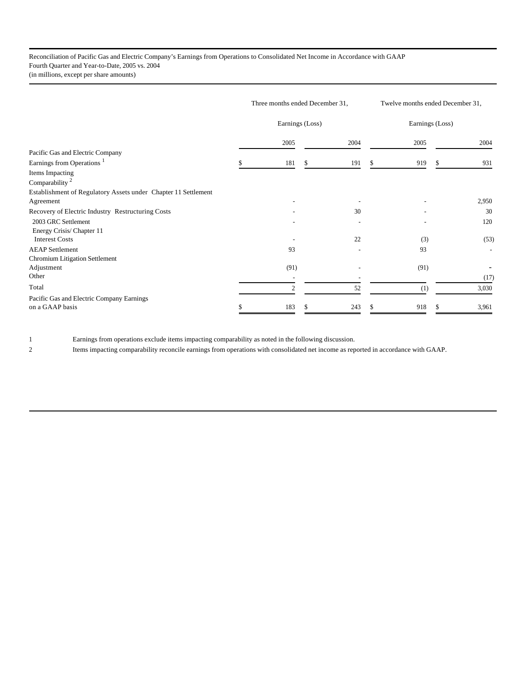Reconciliation of Pacific Gas and Electric Company's Earnings from Operations to Consolidated Net Income in Accordance with GAAP Fourth Quarter and Year-to-Date, 2005 vs. 2004 (in millions, except per share amounts)

|                                                                | Three months ended December 31, | Twelve months ended December 31, |      |   |      |   |       |
|----------------------------------------------------------------|---------------------------------|----------------------------------|------|---|------|---|-------|
|                                                                |                                 | Earnings (Loss)                  |      |   |      |   |       |
|                                                                |                                 | 2005                             | 2004 |   | 2005 |   | 2004  |
| Pacific Gas and Electric Company                               |                                 |                                  |      |   |      |   |       |
| Earnings from Operations <sup>1</sup>                          |                                 | 181                              | 191  | S | 919  | S | 931   |
| Items Impacting                                                |                                 |                                  |      |   |      |   |       |
| Comparability <sup>2</sup>                                     |                                 |                                  |      |   |      |   |       |
| Establishment of Regulatory Assets under Chapter 11 Settlement |                                 |                                  |      |   |      |   |       |
| Agreement                                                      |                                 |                                  |      |   |      |   | 2,950 |
| Recovery of Electric Industry Restructuring Costs              |                                 |                                  | 30   |   |      |   | 30    |
| 2003 GRC Settlement                                            |                                 |                                  |      |   |      |   | 120   |
| Energy Crisis/Chapter 11                                       |                                 |                                  |      |   |      |   |       |
| <b>Interest Costs</b>                                          |                                 |                                  | 22   |   | (3)  |   | (53)  |
| <b>AEAP</b> Settlement                                         |                                 | 93                               |      |   | 93   |   |       |
| Chromium Litigation Settlement                                 |                                 |                                  |      |   |      |   |       |
| Adjustment                                                     |                                 | (91)                             |      |   | (91) |   |       |
| Other                                                          |                                 |                                  |      |   |      |   | (17)  |
| Total                                                          |                                 | $\mathfrak{2}$                   | 52   |   | (1)  |   | 3,030 |
| Pacific Gas and Electric Company Earnings                      |                                 |                                  |      |   |      |   |       |
| on a GAAP basis                                                |                                 | 183                              | 243  |   | 918  |   | 3,961 |

1 Earnings from operations exclude items impacting comparability as noted in the following discussion.

2 Items impacting comparability reconcile earnings from operations with consolidated net income as reported in accordance with GAAP.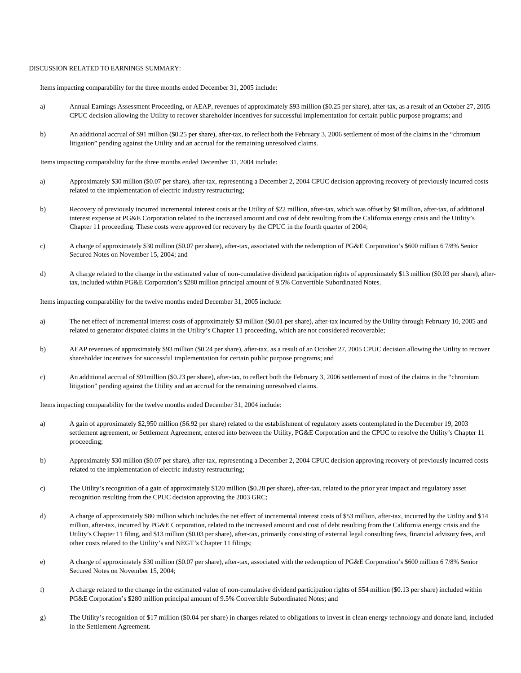## DISCUSSION RELATED TO EARNINGS SUMMARY:

Items impacting comparability for the three months ended December 31, 2005 include:

- a) Annual Earnings Assessment Proceeding, or AEAP, revenues of approximately \$93 million (\$0.25 per share), after-tax, as a result of an October 27, 2005 CPUC decision allowing the Utility to recover shareholder incentives for successful implementation for certain public purpose programs; and
- b) An additional accrual of \$91 million (\$0.25 per share), after-tax, to reflect both the February 3, 2006 settlement of most of the claims in the "chromium litigation" pending against the Utility and an accrual for the remaining unresolved claims.

Items impacting comparability for the three months ended December 31, 2004 include:

- a) Approximately \$30 million (\$0.07 per share), after-tax, representing a December 2, 2004 CPUC decision approving recovery of previously incurred costs related to the implementation of electric industry restructuring;
- b) Recovery of previously incurred incremental interest costs at the Utility of \$22 million, after-tax, which was offset by \$8 million, after-tax, of additional interest expense at PG&E Corporation related to the increased amount and cost of debt resulting from the California energy crisis and the Utility's Chapter 11 proceeding. These costs were approved for recovery by the CPUC in the fourth quarter of 2004;
- c) A charge of approximately \$30 million (\$0.07 per share), after-tax, associated with the redemption of PG&E Corporation's \$600 million 6 7/8% Senior Secured Notes on November 15, 2004; and
- d) A charge related to the change in the estimated value of non-cumulative dividend participation rights of approximately \$13 million (\$0.03 per share), aftertax, included within PG&E Corporation's \$280 million principal amount of 9.5% Convertible Subordinated Notes.

Items impacting comparability for the twelve months ended December 31, 2005 include:

- a) The net effect of incremental interest costs of approximately \$3 million (\$0.01 per share), after-tax incurred by the Utility through February 10, 2005 and related to generator disputed claims in the Utility's Chapter 11 proceeding, which are not considered recoverable;
- b) AEAP revenues of approximately \$93 million (\$0.24 per share), after-tax, as a result of an October 27, 2005 CPUC decision allowing the Utility to recover shareholder incentives for successful implementation for certain public purpose programs; and
- c) An additional accrual of \$91million (\$0.23 per share), after-tax, to reflect both the February 3, 2006 settlement of most of the claims in the "chromium litigation" pending against the Utility and an accrual for the remaining unresolved claims.

Items impacting comparability for the twelve months ended December 31, 2004 include:

- a) A gain of approximately \$2,950 million (\$6.92 per share) related to the establishment of regulatory assets contemplated in the December 19, 2003 settlement agreement, or Settlement Agreement, entered into between the Utility, PG&E Corporation and the CPUC to resolve the Utility's Chapter 11 proceeding;
- b) Approximately \$30 million (\$0.07 per share), after-tax, representing a December 2, 2004 CPUC decision approving recovery of previously incurred costs related to the implementation of electric industry restructuring;
- c) The Utility's recognition of a gain of approximately \$120 million (\$0.28 per share), after-tax, related to the prior year impact and regulatory asset recognition resulting from the CPUC decision approving the 2003 GRC;
- d) A charge of approximately \$80 million which includes the net effect of incremental interest costs of \$53 million, after-tax, incurred by the Utility and \$14 million, after-tax, incurred by PG&E Corporation, related to the increased amount and cost of debt resulting from the California energy crisis and the Utility's Chapter 11 filing, and \$13 million (\$0.03 per share), after-tax, primarily consisting of external legal consulting fees, financial advisory fees, and other costs related to the Utility's and NEGT's Chapter 11 filings;
- e) A charge of approximately \$30 million (\$0.07 per share), after-tax, associated with the redemption of PG&E Corporation's \$600 million 6 7/8% Senior Secured Notes on November 15, 2004;
- f) A charge related to the change in the estimated value of non-cumulative dividend participation rights of \$54 million (\$0.13 per share) included within PG&E Corporation's \$280 million principal amount of 9.5% Convertible Subordinated Notes; and
- g) The Utility's recognition of \$17 million (\$0.04 per share) in charges related to obligations to invest in clean energy technology and donate land, included in the Settlement Agreement.